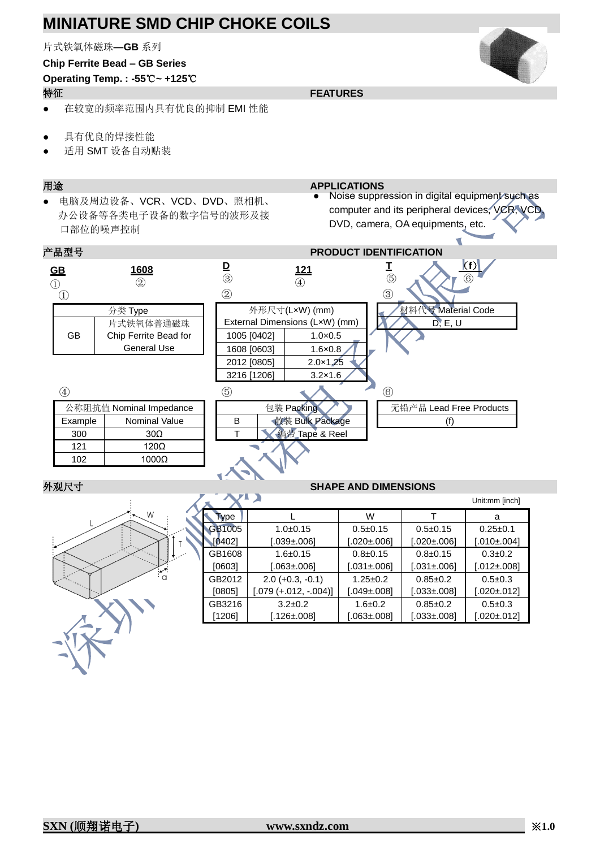片式铁氧体磁珠**—GB** 系列

## **Chip Ferrite Bead – GB Series**

# **Operating Temp. : -55**℃**~ +125**℃

### 特征 **FEATURES**

- 在较宽的频率范围内具有优良的抑制 EMI 性能
- 具有优良的焊接性能
- 适用 SMT 设备自动贴装

● 电脑及周边设备、VCR、VCD、DVD、照相机、 办公设备等各类电子设备的数字信号的波形及接 口部位的噪声控制

#### 用途 **APPLICATIONS**

● Noise suppression in digital equipment such as computer and its peripheral devices, VCR, VCD, DVD, camera, OA equipments, etc.



### 外观尺寸 **SHAPE AND DIMENSIONS**



|             |                         |                   |                   | Unit:mm [inch]    |
|-------------|-------------------------|-------------------|-------------------|-------------------|
| <b>Type</b> |                         | W                 |                   | a                 |
| GB1005      | $1.0+0.15$              | $0.5 \pm 0.15$    | $0.5 \pm 0.15$    | $0.25 \pm 0.1$    |
| [0402]      | $[.039 \pm 006]$        | [.020±.006]       | $[.020 \pm 006]$  | $[.010 \pm 004]$  |
| GB1608      | $1.6 \pm 0.15$          | $0.8+0.15$        | $0.8 + 0.15$      | $0.3 \pm 0.2$     |
| [0603]      | $[.063 \pm 006]$        | $0.031 \pm 0.061$ | $[.031 \pm .006]$ | $[.012 \pm .008]$ |
| GB2012      | $2.0 (+0.3, -0.1)$      | $1.25 \pm 0.2$    | $0.85 \pm 0.2$    | $0.5 \pm 0.3$     |
| [0805]      | $[.079 (+.012, -.004)]$ | $[.049 \pm 008]$  | $[.033 \pm 008]$  | $[.020 \pm 012]$  |
| GB3216      | $3.2 \pm 0.2$           | $1.6 \pm 0.2$     | $0.85 + 0.2$      | $0.5 \pm 0.3$     |
| [1206]      | 126±.0081.              | $0.063 \pm 0.081$ | $[.033 \pm 008]$  | $[.020 \pm .012]$ |

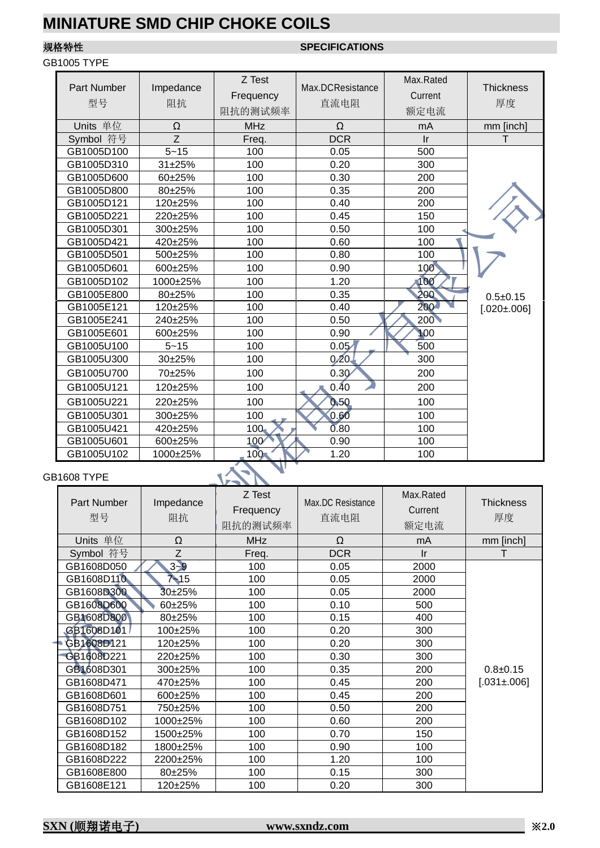## GB1005 TYPE

## 规格特性 **SPECIFICATIONS**

| <b>Part Number</b><br>型号 | Impedance<br>阻抗 | Z Test<br>Frequency<br>阻抗的测试频率 | Max.DCResistance<br>直流电阻 | Max.Rated<br>Current<br>额定电流 | <b>Thickness</b><br>厚度 |
|--------------------------|-----------------|--------------------------------|--------------------------|------------------------------|------------------------|
| Units 单位                 | $\Omega$        | <b>MHz</b>                     | $\Omega$                 | mA                           | mm [inch]              |
| Symbol 符号                | Z               | Freq.                          | <b>DCR</b>               | $\mathsf{I}$ r               | т                      |
| GB1005D100               | $5 - 15$        | 100                            | 0.05                     | 500                          |                        |
| GB1005D310               | 31±25%          | 100                            | 0.20                     | 300                          |                        |
| GB1005D600               | 60±25%          | 100                            | 0.30                     | 200                          |                        |
| GB1005D800               | 80±25%          | 100                            | 0.35                     | 200                          |                        |
| GB1005D121               | 120±25%         | 100                            | 0.40                     | 200                          |                        |
| GB1005D221               | 220±25%         | 100                            | 0.45                     | 150                          |                        |
| GB1005D301               | 300±25%         | 100                            | 0.50                     | 100                          |                        |
| GB1005D421               | 420±25%         | 100                            | 0.60                     | 100                          |                        |
| GB1005D501               | 500±25%         | 100                            | 0.80                     | 100                          |                        |
| GB1005D601               | 600±25%         | 100                            | 0.90                     | 100                          |                        |
| GB1005D102               | 1000±25%        | 100                            | 1.20                     | 100                          |                        |
| GB1005E800               | $80+25%$        | 100                            | 0.35                     | 200                          | $0.5 + 0.15$           |
| GB1005E121               | 120±25%         | 100                            | 0.40                     | 200                          | $[.020 \pm 006]$       |
| GB1005E241               | 240±25%         | 100                            | 0.50                     | 200                          |                        |
| GB1005E601               | 600±25%         | 100                            | 0.90                     | 100                          |                        |
| GB1005U100               | $5 - 15$        | 100                            | 0.05                     | 500                          |                        |
| GB1005U300               | 30±25%          | 100                            | $0.20 -$                 | 300                          |                        |
| GB1005U700               | 70±25%          | 100                            | 0.30                     | 200                          |                        |
| GB1005U121               | 120±25%         | 100                            | 0.40                     | 200                          |                        |
| GB1005U221               | 220±25%         | 100                            | 0.50                     | 100                          |                        |
| GB1005U301               | 300±25%         | 100                            | 0.60                     | 100                          |                        |
| GB1005U421               | 420±25%         | 100 <sub>1</sub>               | 0.80                     | 100                          |                        |
| GB1005U601               | 600±25%         | 100                            | 0.90                     | 100                          |                        |
| GB1005U102               | 1000±25%        | 100 <sub>1</sub>               | 1.20                     | 100                          |                        |

### GB1608 TYPE

**VERY** 

| Part Number<br>型号 | Impedance<br>阻抗 | Z Test<br>Frequency<br>阻抗的测试频率 | Max.DC Resistance<br>直流电阻 | Max.Rated<br>Current<br>额定电流 | <b>Thickness</b><br>厚度 |
|-------------------|-----------------|--------------------------------|---------------------------|------------------------------|------------------------|
| Units 单位          | Ω               | <b>MHz</b>                     | Ω                         | mA                           | mm [inch]              |
| Symbol 符号         | Z               | Freq.                          | <b>DCR</b>                | Ir                           |                        |
| GB1608D050        | $3 - 9$         | 100                            | 0.05                      | 2000                         |                        |
| GB1608D110        | $7 - 15$        | 100                            | 0.05                      | 2000                         |                        |
| GB1608D300        | $30+25%$        | 100                            | 0.05                      | 2000                         |                        |
| GB1608D600        | 60±25%          | 100                            | 0.10                      | 500                          |                        |
| GB1608D800        | 80±25%          | 100                            | 0.15                      | 400                          |                        |
| GB1608D101        | 100±25%         | 100                            | 0.20                      | 300                          |                        |
| GB1608D121        | 120±25%         | 100                            | 0.20                      | 300                          |                        |
| GB1608D221        | 220±25%         | 100                            | 0.30                      | 300                          |                        |
| GB1608D301        | 300±25%         | 100                            | 0.35                      | 200                          | $0.8 + 0.15$           |
| GB1608D471        | 470±25%         | 100                            | 0.45                      | 200                          | $[.031 \pm .006]$      |
| GB1608D601        | 600±25%         | 100                            | 0.45                      | 200                          |                        |
| GB1608D751        | 750±25%         | 100                            | 0.50                      | 200                          |                        |
| GB1608D102        | 1000±25%        | 100                            | 0.60                      | 200                          |                        |
| GB1608D152        | 1500±25%        | 100                            | 0.70                      | 150                          |                        |
| GB1608D182        | 1800±25%        | 100                            | 0.90                      | 100                          |                        |
| GB1608D222        | 2200±25%        | 100                            | 1.20                      | 100                          |                        |
| GB1608E800        | 80±25%          | 100                            | 0.15                      | 300                          |                        |
| GB1608E121        | 120±25%         | 100                            | 0.20                      | 300                          |                        |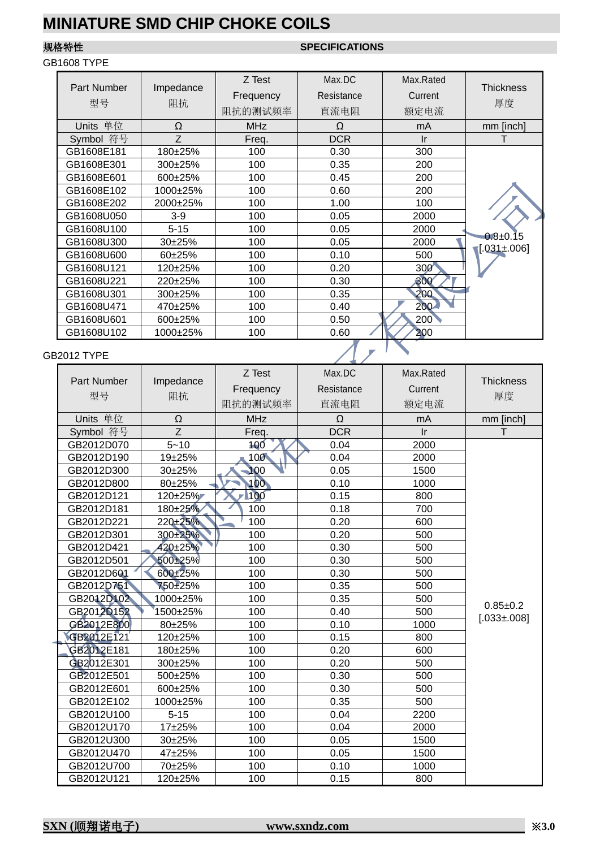### GB1608 TYPE

# 规格特性 **SPECIFICATIONS**

| Part Number<br>型号 | Impedance<br>阻抗 | Z Test<br>Frequency<br>阻抗的测试频率 | Max.DC<br>Resistance<br>直流电阻 | Max.Rated<br>Current<br>额定电流 | <b>Thickness</b><br>厚度 |
|-------------------|-----------------|--------------------------------|------------------------------|------------------------------|------------------------|
| Units 单位          | Ω               | <b>MHz</b>                     | Ω                            | mA                           | mm [inch]              |
| Symbol 符号         | Z               | Freq.                          | <b>DCR</b>                   | Ir                           |                        |
| GB1608E181        | 180±25%         | 100                            | 0.30                         | 300                          |                        |
| GB1608E301        | 300±25%         | 100                            | 0.35                         | 200                          |                        |
| GB1608E601        | 600±25%         | 100                            | 0.45                         | 200                          |                        |
| GB1608E102        | 1000±25%        | 100                            | 0.60                         | 200                          |                        |
| GB1608E202        | 2000±25%        | 100                            | 1.00                         | 100                          |                        |
| GB1608U050        | $3-9$           | 100                            | 0.05                         | 2000                         |                        |
| GB1608U100        | $5 - 15$        | 100                            | 0.05                         | 2000                         |                        |
| GB1608U300        | $30+25%$        | 100                            | 0.05                         | 2000                         | $0.8 \pm 0.15$         |
| GB1608U600        | $60+25%$        | 100                            | 0.10                         | 500                          | $[.031 \pm 006]$       |
| GB1608U121        | 120±25%         | 100                            | 0.20                         | 300                          |                        |
| GB1608U221        | 220±25%         | 100                            | 0.30                         | 300                          |                        |
| GB1608U301        | 300±25%         | 100                            | 0.35                         | 200                          |                        |
| GB1608U471        | 470±25%         | 100                            | 0.40                         | 200                          |                        |
| GB1608U601        | 600±25%         | 100                            | 0.50                         | 200                          |                        |
| GB1608U102        | 1000±25%        | 100                            | 0.60                         | 200                          |                        |
| 32012 TYPE        |                 |                                |                              |                              |                        |

## GB2012 TYPE

| Part Number<br>型号      | Impedance<br>阻抗 | Z Test     | Max.DC     | Max.Rated    | <b>Thickness</b>  |
|------------------------|-----------------|------------|------------|--------------|-------------------|
|                        |                 | Frequency  | Resistance | Current      |                   |
|                        |                 | 阻抗的测试频率    | 直流电阻       | 额定电流         | 厚度                |
| Units 单位               | Ω               | <b>MHz</b> | Ω          | mA           | mm [inch]         |
| Symbol 符号              | Z               | Freq.      | <b>DCR</b> | $\mathsf{I}$ | т                 |
| GB2012D070             | $5 - 10$        | 100        | 0.04       | 2000         |                   |
| GB2012D190             | 19±25%          | 100        | 0.04       | 2000         |                   |
| GB2012D300             | 30±25%          | 100        | 0.05       | 1500         |                   |
| GB2012D800             | 80±25%          | 100        | 0.10       | 1000         |                   |
| GB2012D121             | 120±25%         | 100        | 0.15       | 800          |                   |
| GB2012D181             | 180±25%         | 100        | 0.18       | 700          |                   |
| GB2012D221             | $220 + 25%$     | 100        | 0.20       | 600          |                   |
| GB2012D301             | 300±25%         | 100        | 0.20       | 500          |                   |
| GB2012D421             | 420±25%         | 100        | 0.30       | 500          |                   |
| GB2012D501             | 500±25%         | 100        | 0.30       | 500          |                   |
| GB2012D601             | 600±25%         | 100        | 0.30       | 500          |                   |
| GB2012D751             | 750±25%         | 100        | 0.35       | 500          |                   |
| GB2012D102             | 1000±25%        | 100        | 0.35       | 500          |                   |
| GB2012D152             | 1500±25%        | 100        | 0.40       | 500          | $0.85 + 0.2$      |
| GB <sub>2012E800</sub> | 80±25%          | 100        | 0.10       | 1000         | $[.033 \pm 0.08]$ |
| GB2012E121             | 120±25%         | 100        | 0.15       | 800          |                   |
| GB2012E181             | 180±25%         | 100        | 0.20       | 600          |                   |
| GB2012E301             | 300±25%         | 100        | 0.20       | 500          |                   |
| GB2012E501             | 500±25%         | 100        | 0.30       | 500          |                   |
| GB2012E601             | 600±25%         | 100        | 0.30       | 500          |                   |
| GB2012E102             | 1000±25%        | 100        | 0.35       | 500          |                   |
| GB2012U100             | $5 - 15$        | 100        | 0.04       | 2200         |                   |
| GB2012U170             | 17±25%          | 100        | 0.04       | 2000         |                   |
| GB2012U300             | 30±25%          | 100        | 0.05       | 1500         |                   |
| GB2012U470             | 47±25%          | 100        | 0.05       | 1500         |                   |
| GB2012U700             | 70±25%          | 100        | 0.10       | 1000         |                   |
| GB2012U121             | 120±25%         | 100        | 0.15       | 800          |                   |